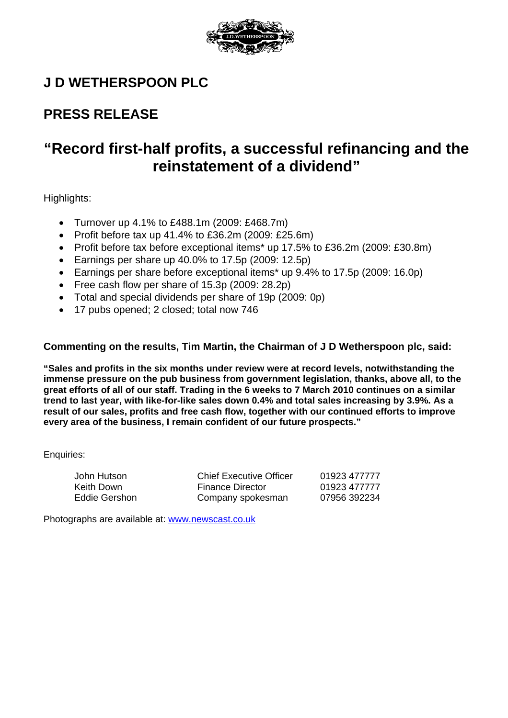

# **J D WETHERSPOON PLC**

# **PRESS RELEASE**

# **"Record first-half profits, a successful refinancing and the reinstatement of a dividend"**

Highlights:

- Turnover up 4.1% to £488.1m (2009: £468.7m)
- Profit before tax up  $41.4\%$  to £36.2m (2009: £25.6m)
- Profit before tax before exceptional items\* up 17.5% to £36.2m (2009: £30.8m)
- Earnings per share up  $40.0\%$  to 17.5p (2009: 12.5p)
- Earnings per share before exceptional items\* up 9.4% to 17.5p (2009: 16.0p)
- Free cash flow per share of 15.3p (2009: 28.2p)
- Total and special dividends per share of 19p (2009: 0p)
- 17 pubs opened; 2 closed; total now 746

# **Commenting on the results, Tim Martin, the Chairman of J D Wetherspoon plc, said:**

**"Sales and profits in the six months under review were at record levels, notwithstanding the immense pressure on the pub business from government legislation, thanks, above all, to the great efforts of all of our staff. Trading in the 6 weeks to 7 March 2010 continues on a similar trend to last year, with like-for-like sales down 0.4% and total sales increasing by 3.9%. As a result of our sales, profits and free cash flow, together with our continued efforts to improve every area of the business, I remain confident of our future prospects."** 

Enquiries:

| John Hutson   | <b>Chief Executive Officer</b> | 01923 477777 |
|---------------|--------------------------------|--------------|
| Keith Down    | <b>Finance Director</b>        | 01923 477777 |
| Eddie Gershon | Company spokesman              | 07956 392234 |

Photographs are available at: [www.newscast.co.uk](http://www.newscast.co.uk/)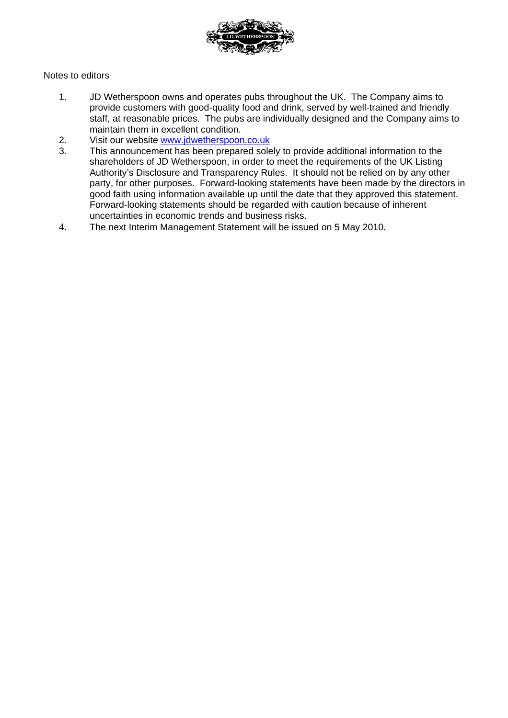

## Notes to editors

- 1. JD Wetherspoon owns and operates pubs throughout the UK. The Company aims to provide customers with good-quality food and drink, served by well-trained and friendly staff, at reasonable prices. The pubs are individually designed and the Company aims to maintain them in excellent condition.
- 2. Visit our website [www.jdwetherspoon.co.uk](http://www.jdwetherspoon.co.uk/)
- 3. This announcement has been prepared solely to provide additional information to the shareholders of JD Wetherspoon, in order to meet the requirements of the UK Listing Authority's Disclosure and Transparency Rules. It should not be relied on by any other party, for other purposes. Forward-looking statements have been made by the directors in good faith using information available up until the date that they approved this statement. Forward-looking statements should be regarded with caution because of inherent uncertainties in economic trends and business risks.
- 4. The next Interim Management Statement will be issued on 5 May 2010.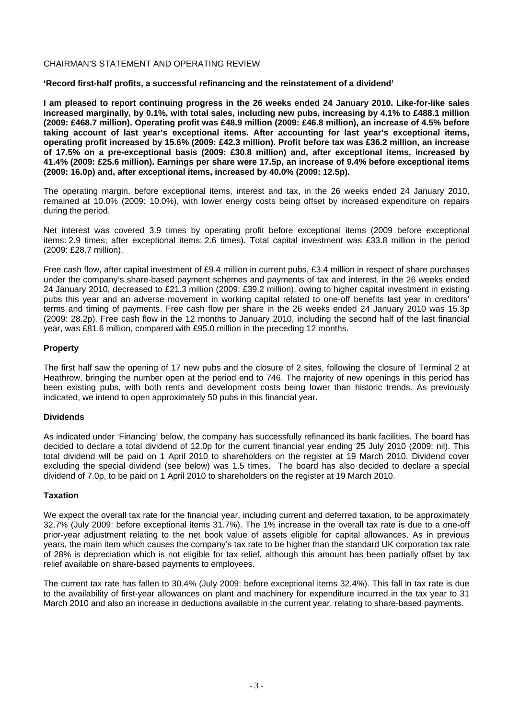#### CHAIRMAN'S STATEMENT AND OPERATING REVIEW

**'Record first-half profits, a successful refinancing and the reinstatement of a dividend'** 

**I am pleased to report continuing progress in the 26 weeks ended 24 January 2010. Like-for-like sales increased marginally, by 0.1%, with total sales, including new pubs, increasing by 4.1% to £488.1 million (2009: £468.7 million). Operating profit was £48.9 million (2009: £46.8 million), an increase of 4.5% before taking account of last year's exceptional items. After accounting for last year's exceptional items, operating profit increased by 15.6% (2009: £42.3 million). Profit before tax was £36.2 million, an increase of 17.5% on a pre-exceptional basis (2009: £30.8 million) and, after exceptional items, increased by 41.4% (2009: £25.6 million). Earnings per share were 17.5p, an increase of 9.4% before exceptional items (2009: 16.0p) and, after exceptional items, increased by 40.0% (2009: 12.5p).** 

The operating margin, before exceptional items, interest and tax, in the 26 weeks ended 24 January 2010, remained at 10.0% (2009: 10.0%), with lower energy costs being offset by increased expenditure on repairs during the period.

Net interest was covered 3.9 times by operating profit before exceptional items (2009 before exceptional items: 2.9 times; after exceptional items: 2.6 times). Total capital investment was £33.8 million in the period (2009: £28.7 million).

Free cash flow, after capital investment of £9.4 million in current pubs, £3.4 million in respect of share purchases under the company's share-based payment schemes and payments of tax and interest, in the 26 weeks ended 24 January 2010, decreased to £21.3 million (2009: £39.2 million), owing to higher capital investment in existing pubs this year and an adverse movement in working capital related to one-off benefits last year in creditors' terms and timing of payments. Free cash flow per share in the 26 weeks ended 24 January 2010 was 15.3p (2009: 28.2p). Free cash flow in the 12 months to January 2010, including the second half of the last financial year, was £81.6 million, compared with £95.0 million in the preceding 12 months.

#### **Property**

The first half saw the opening of 17 new pubs and the closure of 2 sites, following the closure of Terminal 2 at Heathrow, bringing the number open at the period end to 746. The majority of new openings in this period has been existing pubs, with both rents and development costs being lower than historic trends. As previously indicated, we intend to open approximately 50 pubs in this financial year.

#### **Dividends**

As indicated under 'Financing' below, the company has successfully refinanced its bank facilities. The board has decided to declare a total dividend of 12.0p for the current financial year ending 25 July 2010 (2009: nil). This total dividend will be paid on 1 April 2010 to shareholders on the register at 19 March 2010. Dividend cover excluding the special dividend (see below) was 1.5 times. The board has also decided to declare a special dividend of 7.0p, to be paid on 1 April 2010 to shareholders on the register at 19 March 2010.

#### **Taxation**

We expect the overall tax rate for the financial year, including current and deferred taxation, to be approximately 32.7% (July 2009: before exceptional items 31.7%). The 1% increase in the overall tax rate is due to a one-off prior-year adjustment relating to the net book value of assets eligible for capital allowances. As in previous years, the main item which causes the company's tax rate to be higher than the standard UK corporation tax rate of 28% is depreciation which is not eligible for tax relief, although this amount has been partially offset by tax relief available on share-based payments to employees.

The current tax rate has fallen to 30.4% (July 2009: before exceptional items 32.4%). This fall in tax rate is due to the availability of first-year allowances on plant and machinery for expenditure incurred in the tax year to 31 March 2010 and also an increase in deductions available in the current year, relating to share-based payments.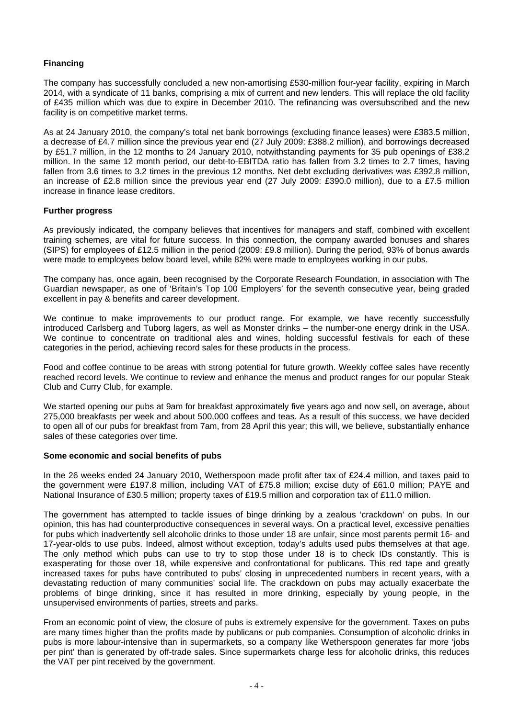## **Financing**

The company has successfully concluded a new non-amortising £530-million four-year facility, expiring in March 2014, with a syndicate of 11 banks, comprising a mix of current and new lenders. This will replace the old facility of £435 million which was due to expire in December 2010. The refinancing was oversubscribed and the new facility is on competitive market terms.

As at 24 January 2010, the company's total net bank borrowings (excluding finance leases) were £383.5 million, a decrease of £4.7 million since the previous year end (27 July 2009: £388.2 million), and borrowings decreased by £51.7 million, in the 12 months to 24 January 2010, notwithstanding payments for 35 pub openings of £38.2 million. In the same 12 month period, our debt-to-EBITDA ratio has fallen from 3.2 times to 2.7 times, having fallen from 3.6 times to 3.2 times in the previous 12 months. Net debt excluding derivatives was £392.8 million, an increase of £2.8 million since the previous year end (27 July 2009: £390.0 million), due to a £7.5 million increase in finance lease creditors.

#### **Further progress**

As previously indicated, the company believes that incentives for managers and staff, combined with excellent training schemes, are vital for future success. In this connection, the company awarded bonuses and shares (SIPS) for employees of £12.5 million in the period (2009: £9.8 million). During the period, 93% of bonus awards were made to employees below board level, while 82% were made to employees working in our pubs.

The company has, once again, been recognised by the Corporate Research Foundation, in association with The Guardian newspaper, as one of 'Britain's Top 100 Employers' for the seventh consecutive year, being graded excellent in pay & benefits and career development.

We continue to make improvements to our product range. For example, we have recently successfully introduced Carlsberg and Tuborg lagers, as well as Monster drinks – the number-one energy drink in the USA. We continue to concentrate on traditional ales and wines, holding successful festivals for each of these categories in the period, achieving record sales for these products in the process.

Food and coffee continue to be areas with strong potential for future growth. Weekly coffee sales have recently reached record levels. We continue to review and enhance the menus and product ranges for our popular Steak Club and Curry Club, for example.

We started opening our pubs at 9am for breakfast approximately five years ago and now sell, on average, about 275,000 breakfasts per week and about 500,000 coffees and teas. As a result of this success, we have decided to open all of our pubs for breakfast from 7am, from 28 April this year; this will, we believe, substantially enhance sales of these categories over time.

#### **Some economic and social benefits of pubs**

In the 26 weeks ended 24 January 2010, Wetherspoon made profit after tax of £24.4 million, and taxes paid to the government were £197.8 million, including VAT of £75.8 million; excise duty of £61.0 million; PAYE and National Insurance of £30.5 million; property taxes of £19.5 million and corporation tax of £11.0 million.

The government has attempted to tackle issues of binge drinking by a zealous 'crackdown' on pubs. In our opinion, this has had counterproductive consequences in several ways. On a practical level, excessive penalties for pubs which inadvertently sell alcoholic drinks to those under 18 are unfair, since most parents permit 16- and 17-year-olds to use pubs. Indeed, almost without exception, today's adults used pubs themselves at that age. The only method which pubs can use to try to stop those under 18 is to check IDs constantly. This is exasperating for those over 18, while expensive and confrontational for publicans. This red tape and greatly increased taxes for pubs have contributed to pubs' closing in unprecedented numbers in recent years, with a devastating reduction of many communities' social life. The crackdown on pubs may actually exacerbate the problems of binge drinking, since it has resulted in more drinking, especially by young people, in the unsupervised environments of parties, streets and parks.

From an economic point of view, the closure of pubs is extremely expensive for the government. Taxes on pubs are many times higher than the profits made by publicans or pub companies. Consumption of alcoholic drinks in pubs is more labour-intensive than in supermarkets, so a company like Wetherspoon generates far more 'jobs per pint' than is generated by off-trade sales. Since supermarkets charge less for alcoholic drinks, this reduces the VAT per pint received by the government.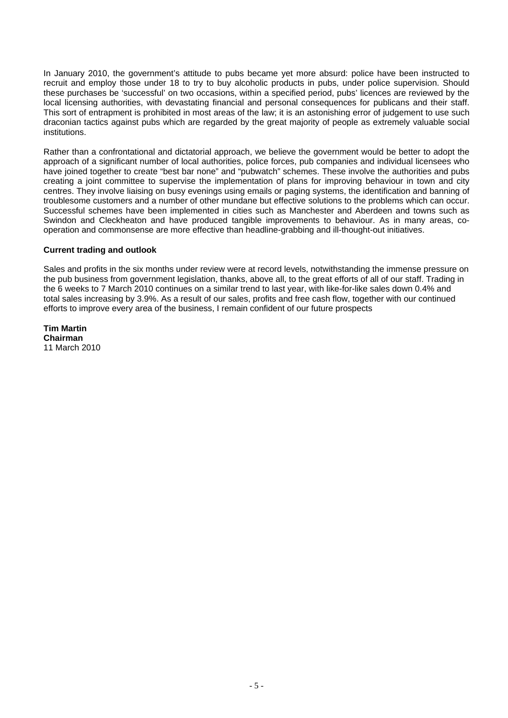In January 2010, the government's attitude to pubs became yet more absurd: police have been instructed to recruit and employ those under 18 to try to buy alcoholic products in pubs, under police supervision. Should these purchases be 'successful' on two occasions, within a specified period, pubs' licences are reviewed by the local licensing authorities, with devastating financial and personal consequences for publicans and their staff. This sort of entrapment is prohibited in most areas of the law; it is an astonishing error of judgement to use such draconian tactics against pubs which are regarded by the great majority of people as extremely valuable social institutions.

Rather than a confrontational and dictatorial approach, we believe the government would be better to adopt the approach of a significant number of local authorities, police forces, pub companies and individual licensees who have joined together to create "best bar none" and "pubwatch" schemes. These involve the authorities and pubs creating a joint committee to supervise the implementation of plans for improving behaviour in town and city centres. They involve liaising on busy evenings using emails or paging systems, the identification and banning of troublesome customers and a number of other mundane but effective solutions to the problems which can occur. Successful schemes have been implemented in cities such as Manchester and Aberdeen and towns such as Swindon and Cleckheaton and have produced tangible improvements to behaviour. As in many areas, cooperation and commonsense are more effective than headline-grabbing and ill-thought-out initiatives.

#### **Current trading and outlook**

Sales and profits in the six months under review were at record levels, notwithstanding the immense pressure on the pub business from government legislation, thanks, above all, to the great efforts of all of our staff. Trading in the 6 weeks to 7 March 2010 continues on a similar trend to last year, with like-for-like sales down 0.4% and total sales increasing by 3.9%. As a result of our sales, profits and free cash flow, together with our continued efforts to improve every area of the business, I remain confident of our future prospects

**Tim Martin Chairman**  11 March 2010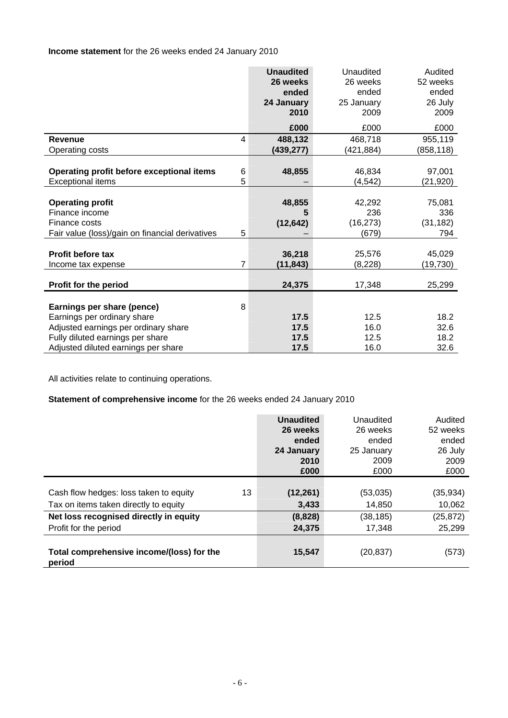## **Income statement** for the 26 weeks ended 24 January 2010

|                                                 |                | <b>Unaudited</b><br>26 weeks<br>ended<br>24 January | Unaudited<br>26 weeks<br>ended<br>25 January | Audited<br>52 weeks<br>ended<br>26 July |
|-------------------------------------------------|----------------|-----------------------------------------------------|----------------------------------------------|-----------------------------------------|
|                                                 |                | 2010                                                | 2009                                         | 2009                                    |
|                                                 |                | £000                                                | £000                                         | £000                                    |
| <b>Revenue</b>                                  | 4              | 488,132                                             | 468,718                                      | 955,119                                 |
| Operating costs                                 |                | (439, 277)                                          | (421,884)                                    | (858, 118)                              |
|                                                 |                |                                                     |                                              |                                         |
| Operating profit before exceptional items       | 6              | 48,855                                              | 46,834                                       | 97,001                                  |
| <b>Exceptional items</b>                        | 5              |                                                     | (4, 542)                                     | (21,920)                                |
|                                                 |                |                                                     |                                              |                                         |
| <b>Operating profit</b>                         |                | 48,855                                              | 42,292                                       | 75,081                                  |
| Finance income                                  |                | 5                                                   | 236                                          | 336                                     |
| Finance costs                                   |                | (12, 642)                                           | (16, 273)                                    | (31, 182)                               |
| Fair value (loss)/gain on financial derivatives | 5              |                                                     | (679)                                        | 794                                     |
|                                                 |                |                                                     |                                              |                                         |
| <b>Profit before tax</b>                        |                | 36,218                                              | 25,576                                       | 45,029                                  |
| Income tax expense                              | $\overline{7}$ | (11, 843)                                           | (8, 228)                                     | (19,730)                                |
|                                                 |                |                                                     |                                              |                                         |
| Profit for the period                           |                | 24,375                                              | 17,348                                       | 25,299                                  |
|                                                 |                |                                                     |                                              |                                         |
| Earnings per share (pence)                      | 8              |                                                     |                                              |                                         |
| Earnings per ordinary share                     |                | 17.5                                                | 12.5                                         | 18.2                                    |
| Adjusted earnings per ordinary share            |                | 17.5                                                | 16.0                                         | 32.6                                    |
| Fully diluted earnings per share                |                | 17.5                                                | 12.5                                         | 18.2                                    |
| Adjusted diluted earnings per share             |                | 17.5                                                | 16.0                                         | 32.6                                    |

All activities relate to continuing operations.

# **Statement of comprehensive income** for the 26 weeks ended 24 January 2010

|                                                                                       | <b>Unaudited</b><br>26 weeks<br>ended<br>24 January<br>2010<br>£000 | Unaudited<br>26 weeks<br>ended<br>25 January<br>2009<br>£000 | Audited<br>52 weeks<br>ended<br>26 July<br>2009<br>£000 |
|---------------------------------------------------------------------------------------|---------------------------------------------------------------------|--------------------------------------------------------------|---------------------------------------------------------|
| 13<br>Cash flow hedges: loss taken to equity<br>Tax on items taken directly to equity | (12, 261)<br>3,433                                                  | (53,035)<br>14,850                                           | (35,934)<br>10,062                                      |
| Net loss recognised directly in equity                                                | (8,828)                                                             | (38, 185)                                                    | (25, 872)                                               |
| Profit for the period                                                                 | 24,375                                                              | 17,348                                                       | 25,299                                                  |
| Total comprehensive income/(loss) for the<br>period                                   | 15,547                                                              | (20, 837)                                                    | (573)                                                   |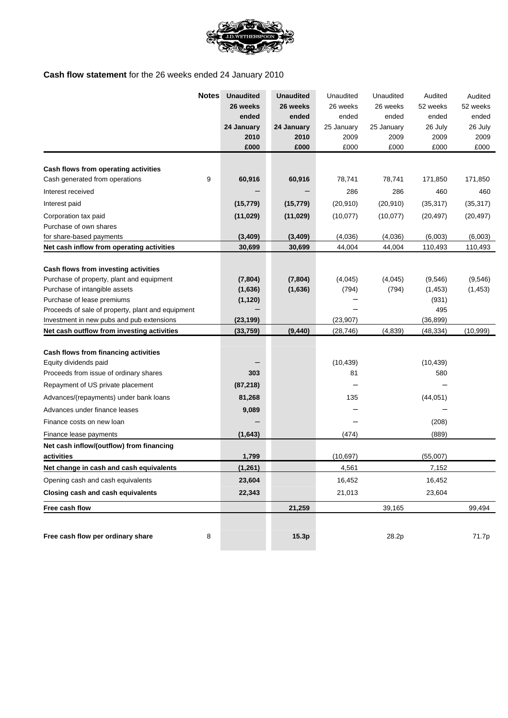

# **Cash flow statement** for the 26 weeks ended 24 January 2010

|                                                               | <b>Notes</b> | <b>Unaudited</b> | <b>Unaudited</b> | Unaudited  | Unaudited  | Audited   | Audited   |
|---------------------------------------------------------------|--------------|------------------|------------------|------------|------------|-----------|-----------|
|                                                               |              | 26 weeks         | 26 weeks         | 26 weeks   | 26 weeks   | 52 weeks  | 52 weeks  |
|                                                               |              | ended            | ended            | ended      | ended      | ended     | ended     |
|                                                               |              | 24 January       | 24 January       | 25 January | 25 January | 26 July   | 26 July   |
|                                                               |              | 2010             | 2010             | 2009       | 2009       | 2009      | 2009      |
|                                                               |              | £000             | £000             | £000       | £000       | £000      | £000      |
| Cash flows from operating activities                          |              |                  |                  |            |            |           |           |
| Cash generated from operations                                | 9            | 60,916           | 60,916           | 78,741     | 78,741     | 171,850   | 171,850   |
| Interest received                                             |              |                  |                  | 286        | 286        | 460       | 460       |
| Interest paid                                                 |              | (15, 779)        | (15, 779)        | (20, 910)  | (20, 910)  | (35, 317) | (35, 317) |
|                                                               |              |                  |                  |            |            |           |           |
| Corporation tax paid<br>Purchase of own shares                |              | (11, 029)        | (11, 029)        | (10, 077)  | (10,077)   | (20, 497) | (20, 497) |
| for share-based payments                                      |              | (3, 409)         | (3, 409)         | (4,036)    | (4,036)    | (6,003)   | (6,003)   |
| Net cash inflow from operating activities                     |              | 30,699           | 30,699           | 44,004     | 44,004     | 110,493   | 110,493   |
|                                                               |              |                  |                  |            |            |           |           |
| Cash flows from investing activities                          |              |                  |                  |            |            |           |           |
| Purchase of property, plant and equipment                     |              | (7, 804)         | (7, 804)         | (4,045)    | (4,045)    | (9,546)   | (9, 546)  |
| Purchase of intangible assets                                 |              | (1,636)          | (1,636)          | (794)      | (794)      | (1, 453)  | (1, 453)  |
| Purchase of lease premiums                                    |              | (1, 120)         |                  |            |            | (931)     |           |
| Proceeds of sale of property, plant and equipment             |              |                  |                  |            |            | 495       |           |
| Investment in new pubs and pub extensions                     |              | (23, 199)        |                  | (23,907)   |            | (36, 899) |           |
| Net cash outflow from investing activities                    |              | (33, 759)        | (9, 440)         | (28, 746)  | (4, 839)   | (48, 334) | (10, 999) |
|                                                               |              |                  |                  |            |            |           |           |
| Cash flows from financing activities<br>Equity dividends paid |              |                  |                  | (10, 439)  |            | (10, 439) |           |
| Proceeds from issue of ordinary shares                        |              | 303              |                  | 81         |            | 580       |           |
| Repayment of US private placement                             |              | (87, 218)        |                  |            |            |           |           |
| Advances/(repayments) under bank loans                        |              | 81,268           |                  | 135        |            | (44, 051) |           |
| Advances under finance leases                                 |              | 9,089            |                  |            |            |           |           |
| Finance costs on new loan                                     |              |                  |                  |            |            | (208)     |           |
| Finance lease payments                                        |              | (1,643)          |                  | (474)      |            | (889)     |           |
| Net cash inflow/(outflow) from financing                      |              |                  |                  |            |            |           |           |
| activities                                                    |              | 1,799            |                  | (10, 697)  |            | (55,007)  |           |
| Net change in cash and cash equivalents                       |              | (1, 261)         |                  | 4,561      |            | 7,152     |           |
| Opening cash and cash equivalents                             |              | 23,604           |                  | 16,452     |            | 16,452    |           |
| <b>Closing cash and cash equivalents</b>                      |              | 22,343           |                  | 21,013     |            | 23,604    |           |
| Free cash flow                                                |              |                  | 21,259           |            | 39,165     |           | 99,494    |
|                                                               |              |                  |                  |            |            |           |           |
| Free cash flow per ordinary share                             | 8            |                  | 15.3p            |            | 28.2p      |           | 71.7p     |
|                                                               |              |                  |                  |            |            |           |           |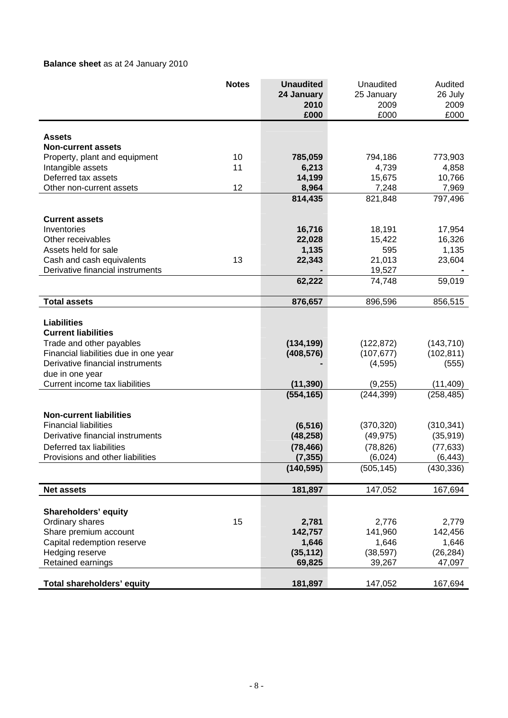# **Balance sheet** as at 24 January 2010

|                                                    | <b>Notes</b> | <b>Unaudited</b> | Unaudited  | Audited    |
|----------------------------------------------------|--------------|------------------|------------|------------|
|                                                    |              | 24 January       | 25 January | 26 July    |
|                                                    |              | 2010             | 2009       | 2009       |
|                                                    |              | £000             | £000       | £000       |
|                                                    |              |                  |            |            |
| <b>Assets</b>                                      |              |                  |            |            |
| <b>Non-current assets</b>                          | 10           | 785,059          | 794,186    | 773,903    |
| Property, plant and equipment<br>Intangible assets | 11           | 6,213            | 4,739      | 4,858      |
| Deferred tax assets                                |              | 14,199           | 15,675     | 10,766     |
| Other non-current assets                           | 12           | 8,964            | 7,248      | 7,969      |
|                                                    |              | 814,435          | 821,848    | 797,496    |
|                                                    |              |                  |            |            |
| <b>Current assets</b>                              |              |                  |            |            |
| Inventories                                        |              | 16,716           | 18,191     | 17,954     |
| Other receivables                                  |              | 22,028           | 15,422     | 16,326     |
| Assets held for sale                               |              | 1,135            | 595        | 1,135      |
| Cash and cash equivalents                          | 13           | 22,343           | 21,013     | 23,604     |
| Derivative financial instruments                   |              |                  | 19,527     |            |
|                                                    |              | 62,222           | 74,748     | 59,019     |
|                                                    |              |                  |            |            |
| <b>Total assets</b>                                |              | 876,657          | 896,596    | 856,515    |
|                                                    |              |                  |            |            |
| <b>Liabilities</b><br><b>Current liabilities</b>   |              |                  |            |            |
| Trade and other payables                           |              | (134, 199)       | (122, 872) | (143, 710) |
| Financial liabilities due in one year              |              | (408, 576)       | (107, 677) | (102, 811) |
| Derivative financial instruments                   |              |                  | (4, 595)   | (555)      |
| due in one year                                    |              |                  |            |            |
| Current income tax liabilities                     |              | (11, 390)        | (9, 255)   | (11, 409)  |
|                                                    |              | (554, 165)       | (244, 399) | (258, 485) |
|                                                    |              |                  |            |            |
| <b>Non-current liabilities</b>                     |              |                  |            |            |
| <b>Financial liabilities</b>                       |              | (6, 516)         | (370, 320) | (310, 341) |
| Derivative financial instruments                   |              | (48, 258)        | (49, 975)  | (35, 919)  |
| Deferred tax liabilities                           |              | (78, 466)        | (78, 826)  | (77, 633)  |
| Provisions and other liabilities                   |              | (7, 355)         | (6,024)    | (6, 443)   |
|                                                    |              | (140, 595)       | (505, 145) | (430, 336) |
|                                                    |              |                  |            |            |
| <b>Net assets</b>                                  |              | 181,897          | 147,052    | 167,694    |
| Shareholders' equity                               |              |                  |            |            |
| Ordinary shares                                    | 15           | 2,781            | 2,776      | 2,779      |
| Share premium account                              |              | 142,757          | 141,960    | 142,456    |
| Capital redemption reserve                         |              | 1,646            | 1,646      | 1,646      |
| Hedging reserve                                    |              | (35, 112)        | (38, 597)  | (26, 284)  |
| Retained earnings                                  |              | 69,825           | 39,267     | 47,097     |
|                                                    |              |                  |            |            |
| <b>Total shareholders' equity</b>                  |              | 181,897          | 147,052    | 167,694    |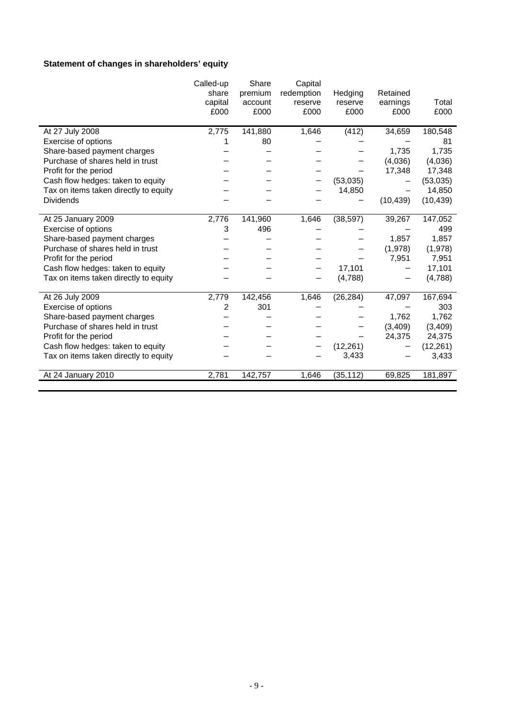# **Statement of changes in shareholders' equity**

|                                       | Called-up | Share   | Capital    |           |           |           |
|---------------------------------------|-----------|---------|------------|-----------|-----------|-----------|
|                                       | share     | premium | redemption | Hedging   | Retained  |           |
|                                       | capital   | account | reserve    | reserve   | earnings  | Total     |
|                                       | £000      | £000    | £000       | £000      | £000      | £000      |
|                                       |           |         |            |           |           |           |
| At 27 July 2008                       | 2,775     | 141,880 | 1,646      | (412)     | 34,659    | 180,548   |
| Exercise of options                   |           | 80      |            |           |           | 81        |
| Share-based payment charges           |           |         |            |           | 1,735     | 1,735     |
| Purchase of shares held in trust      |           |         |            |           | (4,036)   | (4,036)   |
| Profit for the period                 |           |         |            |           | 17,348    | 17,348    |
| Cash flow hedges: taken to equity     |           |         |            | (53,035)  |           | (53,035)  |
| Tax on items taken directly to equity |           |         |            | 14,850    |           | 14,850    |
| <b>Dividends</b>                      |           |         |            |           | (10, 439) | (10, 439) |
| At 25 January 2009                    | 2,776     | 141,960 | 1,646      | (38, 597) | 39,267    | 147,052   |
| Exercise of options                   | 3         | 496     |            |           |           | 499       |
| Share-based payment charges           |           |         |            |           | 1,857     | 1,857     |
| Purchase of shares held in trust      |           |         |            |           | (1,978)   | (1,978)   |
| Profit for the period                 |           |         |            |           |           | 7,951     |
|                                       |           |         |            |           | 7,951     |           |
| Cash flow hedges: taken to equity     |           |         |            | 17,101    |           | 17,101    |
| Tax on items taken directly to equity |           |         | —          | (4,788)   |           | (4,788)   |
| At 26 July 2009                       | 2,779     | 142,456 | 1,646      | (26, 284) | 47,097    | 167,694   |
| Exercise of options                   | 2         | 301     |            |           |           | 303       |
| Share-based payment charges           |           |         |            |           | 1,762     | 1,762     |
| Purchase of shares held in trust      |           |         |            |           | (3,409)   | (3, 409)  |
| Profit for the period                 |           |         |            |           | 24,375    | 24,375    |
| Cash flow hedges: taken to equity     |           |         |            | (12, 261) |           | (12, 261) |
| Tax on items taken directly to equity |           |         |            | 3,433     |           | 3,433     |
|                                       |           |         |            |           |           |           |
| At 24 January 2010                    | 2,781     | 142,757 | 1,646      | (35, 112) | 69,825    | 181,897   |
|                                       |           |         |            |           |           |           |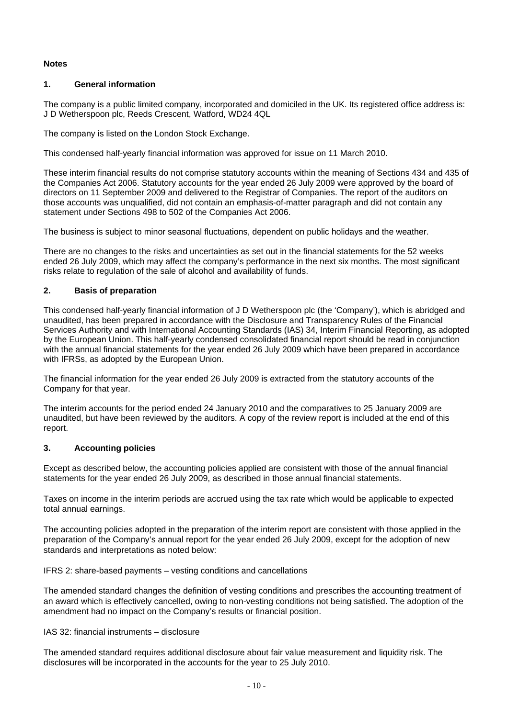### **Notes**

## **1. General information**

The company is a public limited company, incorporated and domiciled in the UK. Its registered office address is: J D Wetherspoon plc, Reeds Crescent, Watford, WD24 4QL

The company is listed on the London Stock Exchange.

This condensed half-yearly financial information was approved for issue on 11 March 2010.

These interim financial results do not comprise statutory accounts within the meaning of Sections 434 and 435 of the Companies Act 2006. Statutory accounts for the year ended 26 July 2009 were approved by the board of directors on 11 September 2009 and delivered to the Registrar of Companies. The report of the auditors on those accounts was unqualified, did not contain an emphasis-of-matter paragraph and did not contain any statement under Sections 498 to 502 of the Companies Act 2006.

The business is subject to minor seasonal fluctuations, dependent on public holidays and the weather.

There are no changes to the risks and uncertainties as set out in the financial statements for the 52 weeks ended 26 July 2009, which may affect the company's performance in the next six months. The most significant risks relate to regulation of the sale of alcohol and availability of funds.

## **2. Basis of preparation**

This condensed half-yearly financial information of J D Wetherspoon plc (the 'Company'), which is abridged and unaudited, has been prepared in accordance with the Disclosure and Transparency Rules of the Financial Services Authority and with International Accounting Standards (IAS) 34, Interim Financial Reporting, as adopted by the European Union. This half-yearly condensed consolidated financial report should be read in conjunction with the annual financial statements for the year ended 26 July 2009 which have been prepared in accordance with IFRSs, as adopted by the European Union.

The financial information for the year ended 26 July 2009 is extracted from the statutory accounts of the Company for that year.

The interim accounts for the period ended 24 January 2010 and the comparatives to 25 January 2009 are unaudited, but have been reviewed by the auditors. A copy of the review report is included at the end of this report.

#### **3. Accounting policies**

Except as described below, the accounting policies applied are consistent with those of the annual financial statements for the year ended 26 July 2009, as described in those annual financial statements.

Taxes on income in the interim periods are accrued using the tax rate which would be applicable to expected total annual earnings.

The accounting policies adopted in the preparation of the interim report are consistent with those applied in the preparation of the Company's annual report for the year ended 26 July 2009, except for the adoption of new standards and interpretations as noted below:

IFRS 2: share-based payments – vesting conditions and cancellations

The amended standard changes the definition of vesting conditions and prescribes the accounting treatment of an award which is effectively cancelled, owing to non-vesting conditions not being satisfied. The adoption of the amendment had no impact on the Company's results or financial position.

#### IAS 32: financial instruments – disclosure

The amended standard requires additional disclosure about fair value measurement and liquidity risk. The disclosures will be incorporated in the accounts for the year to 25 July 2010.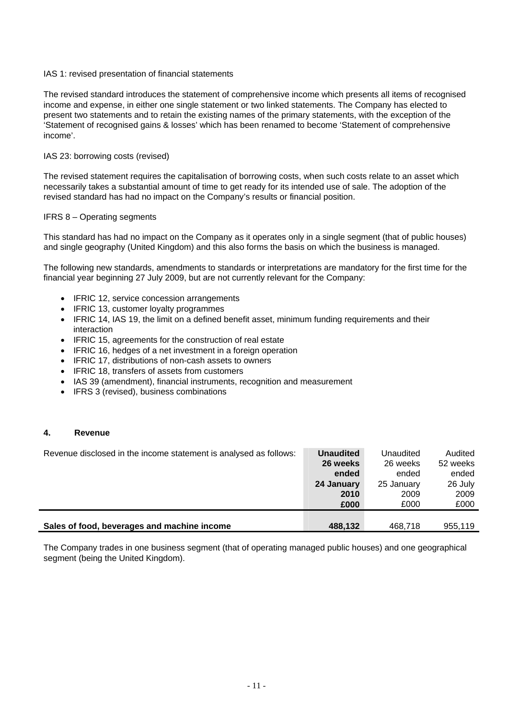#### IAS 1: revised presentation of financial statements

The revised standard introduces the statement of comprehensive income which presents all items of recognised income and expense, in either one single statement or two linked statements. The Company has elected to present two statements and to retain the existing names of the primary statements, with the exception of the 'Statement of recognised gains & losses' which has been renamed to become 'Statement of comprehensive income'.

#### IAS 23: borrowing costs (revised)

The revised statement requires the capitalisation of borrowing costs, when such costs relate to an asset which necessarily takes a substantial amount of time to get ready for its intended use of sale. The adoption of the revised standard has had no impact on the Company's results or financial position.

#### IFRS 8 – Operating segments

This standard has had no impact on the Company as it operates only in a single segment (that of public houses) and single geography (United Kingdom) and this also forms the basis on which the business is managed.

The following new standards, amendments to standards or interpretations are mandatory for the first time for the financial year beginning 27 July 2009, but are not currently relevant for the Company:

- IFRIC 12, service concession arrangements
- IFRIC 13, customer loyalty programmes
- IFRIC 14, IAS 19, the limit on a defined benefit asset, minimum funding requirements and their interaction
- IFRIC 15, agreements for the construction of real estate
- IFRIC 16, hedges of a net investment in a foreign operation
- IFRIC 17, distributions of non-cash assets to owners
- IFRIC 18, transfers of assets from customers
- IAS 39 (amendment), financial instruments, recognition and measurement
- IFRS 3 (revised), business combinations

#### **4. Revenue**

| Revenue disclosed in the income statement is analysed as follows: | <b>Unaudited</b> | Unaudited  | Audited  |
|-------------------------------------------------------------------|------------------|------------|----------|
|                                                                   | 26 weeks         | 26 weeks   | 52 weeks |
|                                                                   | ended            | ended      | ended    |
|                                                                   | 24 January       | 25 January | 26 July  |
|                                                                   | 2010             | 2009       | 2009     |
|                                                                   | £000             | £000       | £000     |
|                                                                   |                  |            |          |
| Sales of food, beverages and machine income                       | 488.132          | 468,718    | 955,119  |

The Company trades in one business segment (that of operating managed public houses) and one geographical segment (being the United Kingdom).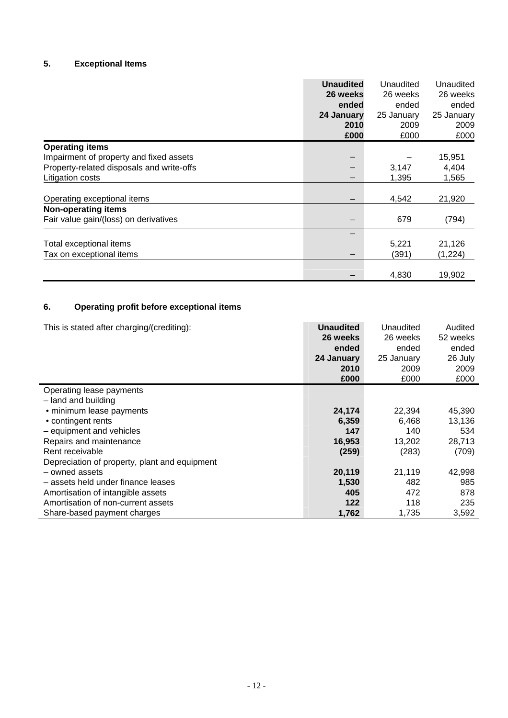# **5. Exceptional Items**

|                                           | <b>Unaudited</b><br>26 weeks | Unaudited<br>26 weeks | Unaudited<br>26 weeks |
|-------------------------------------------|------------------------------|-----------------------|-----------------------|
|                                           | ended                        | ended                 | ended                 |
|                                           | 24 January<br>2010           | 25 January            | 25 January            |
|                                           |                              | 2009                  | 2009                  |
|                                           | £000                         | £000                  | £000                  |
| <b>Operating items</b>                    |                              |                       |                       |
| Impairment of property and fixed assets   |                              |                       | 15,951                |
| Property-related disposals and write-offs |                              | 3,147                 | 4,404                 |
| Litigation costs                          |                              | 1,395                 | 1,565                 |
| Operating exceptional items               |                              | 4,542                 | 21,920                |
| <b>Non-operating items</b>                |                              |                       |                       |
| Fair value gain/(loss) on derivatives     |                              | 679                   | (794)                 |
|                                           |                              |                       |                       |
| Total exceptional items                   |                              | 5,221                 | 21,126                |
| Tax on exceptional items                  |                              | (391)                 | (1,224)               |
|                                           |                              | 4,830                 | 19,902                |

# **6. Operating profit before exceptional items**

| This is stated after charging/(crediting):    | <b>Unaudited</b> | Unaudited  | Audited  |
|-----------------------------------------------|------------------|------------|----------|
|                                               | 26 weeks         | 26 weeks   | 52 weeks |
|                                               | ended            | ended      | ended    |
|                                               | 24 January       | 25 January | 26 July  |
|                                               | 2010             | 2009       | 2009     |
|                                               | £000             | £000       | £000     |
| Operating lease payments                      |                  |            |          |
| - land and building                           |                  |            |          |
| · minimum lease payments                      | 24,174           | 22,394     | 45,390   |
| • contingent rents                            | 6,359            | 6,468      | 13,136   |
| - equipment and vehicles                      | 147              | 140        | 534      |
| Repairs and maintenance                       | 16,953           | 13,202     | 28,713   |
| Rent receivable                               | (259)            | (283)      | (709)    |
| Depreciation of property, plant and equipment |                  |            |          |
| - owned assets                                | 20,119           | 21,119     | 42,998   |
| - assets held under finance leases            | 1,530            | 482        | 985      |
| Amortisation of intangible assets             | 405              | 472        | 878      |
| Amortisation of non-current assets            | 122              | 118        | 235      |
| Share-based payment charges                   | 1,762            | 1,735      | 3,592    |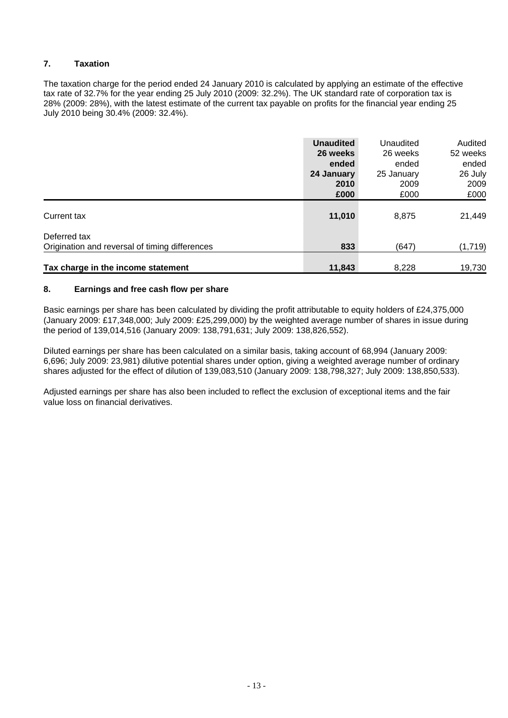# **7. Taxation**

The taxation charge for the period ended 24 January 2010 is calculated by applying an estimate of the effective tax rate of 32.7% for the year ending 25 July 2010 (2009: 32.2%). The UK standard rate of corporation tax is 28% (2009: 28%), with the latest estimate of the current tax payable on profits for the financial year ending 25 July 2010 being 30.4% (2009: 32.4%).

|                                                | <b>Unaudited</b> | Unaudited  | Audited  |
|------------------------------------------------|------------------|------------|----------|
|                                                | 26 weeks         | 26 weeks   | 52 weeks |
|                                                | ended            | ended      | ended    |
|                                                | 24 January       | 25 January | 26 July  |
|                                                | 2010             | 2009       | 2009     |
|                                                | £000             | £000       | £000     |
| Current tax                                    | 11,010           | 8,875      | 21,449   |
| Deferred tax                                   |                  |            |          |
| Origination and reversal of timing differences | 833              | (647)      | (1,719)  |
| Tax charge in the income statement             | 11,843           | 8,228      | 19,730   |

## **8. Earnings and free cash flow per share**

Basic earnings per share has been calculated by dividing the profit attributable to equity holders of £24,375,000 (January 2009: £17,348,000; July 2009: £25,299,000) by the weighted average number of shares in issue during the period of 139,014,516 (January 2009: 138,791,631; July 2009: 138,826,552).

Diluted earnings per share has been calculated on a similar basis, taking account of 68,994 (January 2009: 6,696; July 2009: 23,981) dilutive potential shares under option, giving a weighted average number of ordinary shares adjusted for the effect of dilution of 139,083,510 (January 2009: 138,798,327; July 2009: 138,850,533).

Adjusted earnings per share has also been included to reflect the exclusion of exceptional items and the fair value loss on financial derivatives.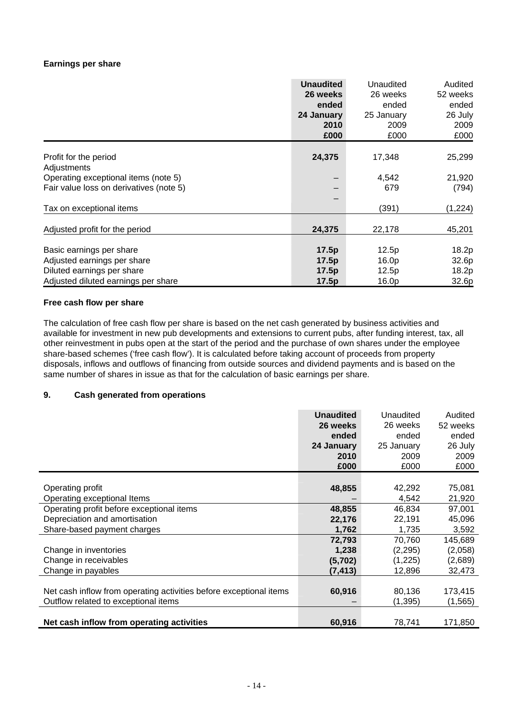### **Earnings per share**

|                                         | <b>Unaudited</b><br>26 weeks<br>ended<br>24 January<br>2010<br>£000 | Unaudited<br>26 weeks<br>ended<br>25 January<br>2009<br>£000 | Audited<br>52 weeks<br>ended<br>26 July<br>2009<br>£000 |
|-----------------------------------------|---------------------------------------------------------------------|--------------------------------------------------------------|---------------------------------------------------------|
|                                         |                                                                     |                                                              |                                                         |
| Profit for the period<br>Adjustments    | 24,375                                                              | 17,348                                                       | 25,299                                                  |
| Operating exceptional items (note 5)    |                                                                     | 4,542                                                        | 21,920                                                  |
| Fair value loss on derivatives (note 5) |                                                                     | 679                                                          | (794)                                                   |
|                                         |                                                                     |                                                              |                                                         |
| Tax on exceptional items                |                                                                     | (391)                                                        | (1, 224)                                                |
| Adjusted profit for the period          | 24,375                                                              | 22,178                                                       | 45,201                                                  |
| Basic earnings per share                | 17.5p                                                               | 12.5p                                                        | 18.2p                                                   |
| Adjusted earnings per share             | 17.5p                                                               | 16.0p                                                        | 32.6p                                                   |
| Diluted earnings per share              | 17.5p                                                               | 12.5p                                                        | 18.2p                                                   |
| Adjusted diluted earnings per share     | 17.5p                                                               | 16.0p                                                        | 32.6p                                                   |

#### **Free cash flow per share**

The calculation of free cash flow per share is based on the net cash generated by business activities and available for investment in new pub developments and extensions to current pubs, after funding interest, tax, all other reinvestment in pubs open at the start of the period and the purchase of own shares under the employee share-based schemes ('free cash flow'). It is calculated before taking account of proceeds from property disposals, inflows and outflows of financing from outside sources and dividend payments and is based on the same number of shares in issue as that for the calculation of basic earnings per share.

#### **9. Cash generated from operations**

|                                                                    | <b>Unaudited</b><br>26 weeks<br>ended<br>24 January<br>2010 | Unaudited<br>26 weeks<br>ended<br>25 January<br>2009 | Audited<br>52 weeks<br>ended<br>26 July<br>2009 |
|--------------------------------------------------------------------|-------------------------------------------------------------|------------------------------------------------------|-------------------------------------------------|
|                                                                    | £000                                                        | £000                                                 | £000                                            |
|                                                                    |                                                             |                                                      |                                                 |
| Operating profit                                                   | 48,855                                                      | 42,292                                               | 75,081                                          |
| Operating exceptional Items                                        |                                                             | 4,542                                                | 21,920                                          |
| Operating profit before exceptional items                          | 48,855                                                      | 46,834                                               | 97,001                                          |
| Depreciation and amortisation                                      | 22,176                                                      | 22,191                                               | 45,096                                          |
| Share-based payment charges                                        | 1,762                                                       | 1,735                                                | 3,592                                           |
|                                                                    | 72,793                                                      | 70.760                                               | 145,689                                         |
| Change in inventories                                              | 1,238                                                       | (2, 295)                                             | (2,058)                                         |
| Change in receivables                                              | (5,702)                                                     | (1,225)                                              | (2,689)                                         |
| Change in payables                                                 | (7,413)                                                     | 12,896                                               | 32,473                                          |
|                                                                    |                                                             |                                                      |                                                 |
| Net cash inflow from operating activities before exceptional items | 60,916                                                      | 80,136                                               | 173,415                                         |
| Outflow related to exceptional items                               |                                                             | (1, 395)                                             | (1, 565)                                        |
|                                                                    |                                                             |                                                      |                                                 |
| Net cash inflow from operating activities                          | 60,916                                                      | 78,741                                               | 171,850                                         |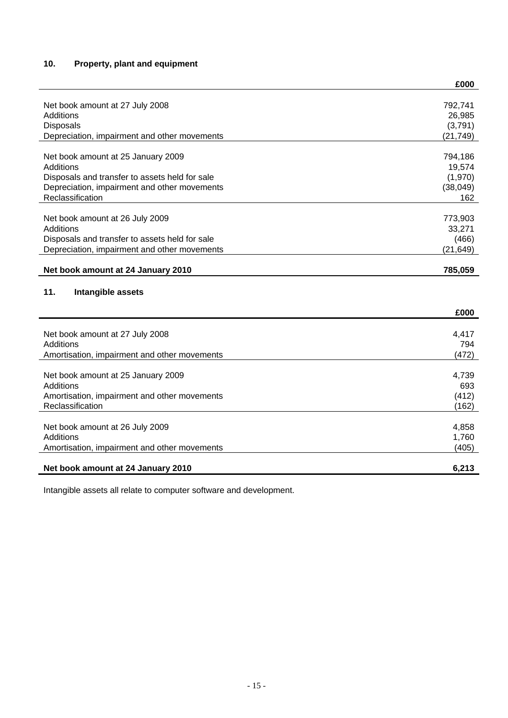# **10. Property, plant and equipment**

|                                                                                                | £000            |
|------------------------------------------------------------------------------------------------|-----------------|
| Net book amount at 27 July 2008                                                                | 792,741         |
| Additions                                                                                      | 26,985          |
| <b>Disposals</b>                                                                               | (3,791)         |
| Depreciation, impairment and other movements                                                   | (21, 749)       |
|                                                                                                |                 |
| Net book amount at 25 January 2009                                                             | 794,186         |
| Additions                                                                                      | 19,574          |
| Disposals and transfer to assets held for sale                                                 | (1,970)         |
| Depreciation, impairment and other movements                                                   | (38, 049)       |
| Reclassification                                                                               | 162             |
|                                                                                                |                 |
| Net book amount at 26 July 2009                                                                | 773,903         |
| Additions                                                                                      | 33,271<br>(466) |
| Disposals and transfer to assets held for sale<br>Depreciation, impairment and other movements | (21, 649)       |
|                                                                                                |                 |
| Net book amount at 24 January 2010                                                             | 785,059         |
|                                                                                                |                 |
|                                                                                                |                 |
| 11.<br>Intangible assets                                                                       |                 |
|                                                                                                | £000            |
|                                                                                                |                 |
| Net book amount at 27 July 2008                                                                | 4,417           |
| <b>Additions</b>                                                                               | 794             |
| Amortisation, impairment and other movements                                                   | (472)           |
| Net book amount at 25 January 2009                                                             | 4,739           |
| Additions                                                                                      | 693             |
| Amortisation, impairment and other movements                                                   | (412)           |
| Reclassification                                                                               | (162)           |
|                                                                                                |                 |
| Net book amount at 26 July 2009                                                                | 4,858           |
| Additions                                                                                      | 1,760           |
| Amortisation, impairment and other movements                                                   | (405)           |
| Net book amount at 24 January 2010                                                             | 6,213           |

Intangible assets all relate to computer software and development.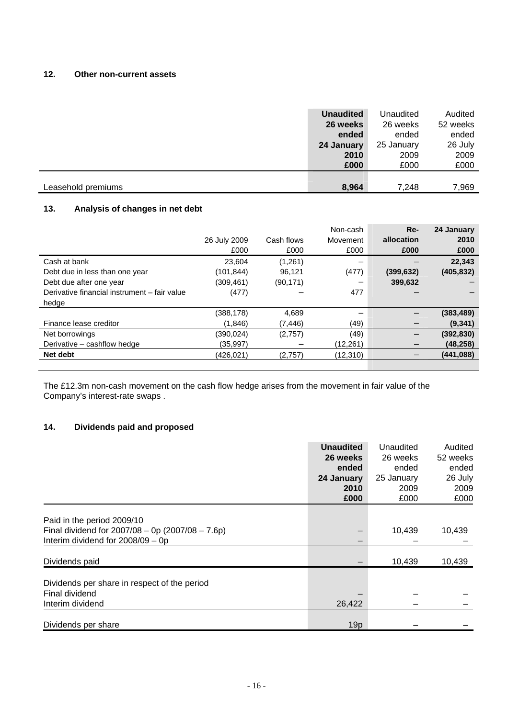## **12. Other non-current assets**

|                    | <b>Unaudited</b><br>26 weeks | Unaudited<br>26 weeks | Audited<br>52 weeks |
|--------------------|------------------------------|-----------------------|---------------------|
|                    | ended                        | ended                 | ended               |
|                    | 24 January                   | 25 January            | 26 July             |
|                    | 2010                         | 2009                  | 2009                |
|                    | £000                         | £000                  | £000                |
|                    |                              |                       |                     |
| Leasehold premiums | 8,964                        | 7,248                 | 7,969               |

## **13. Analysis of changes in net debt**

|                                              | 26 July 2009<br>£000 | Cash flows<br>£000 | Non-cash<br>Movement<br>£000 | $Re-$<br>allocation<br>£000 | 24 January<br>2010<br>£000 |
|----------------------------------------------|----------------------|--------------------|------------------------------|-----------------------------|----------------------------|
| Cash at bank                                 | 23.604               | (1,261)            |                              |                             | 22,343                     |
| Debt due in less than one year               | (101, 844)           | 96,121             | (477)                        | (399, 632)                  | (405, 832)                 |
| Debt due after one year                      | (309,461)            | (90, 171)          |                              | 399,632                     |                            |
| Derivative financial instrument - fair value | (477)                |                    | 477                          |                             |                            |
| hedge                                        |                      |                    |                              |                             |                            |
|                                              | (388,178)            | 4,689              |                              |                             | (383, 489)                 |
| Finance lease creditor                       | (1,846)              | (7, 446)           | (49)                         |                             | (9, 341)                   |
| Net borrowings                               | (390,024)            | (2,757)            | (49)                         |                             | (392, 830)                 |
| Derivative - cashflow hedge                  | (35,997)             |                    | (12,261)                     |                             | (48, 258)                  |
| Net debt                                     | (426, 021)           | (2.757)            | (12.310)                     |                             | (441,088)                  |
|                                              |                      |                    |                              |                             |                            |

The £12.3m non-cash movement on the cash flow hedge arises from the movement in fair value of the Company's interest-rate swaps .

## **14. Dividends paid and proposed**

|                                                                                          | <b>Unaudited</b><br>26 weeks | Unaudited<br>26 weeks | Audited<br>52 weeks |
|------------------------------------------------------------------------------------------|------------------------------|-----------------------|---------------------|
|                                                                                          | ended                        | ended                 | ended               |
|                                                                                          | 24 January                   | 25 January            | 26 July             |
|                                                                                          | 2010                         | 2009                  | 2009                |
|                                                                                          | £000                         | £000                  | £000                |
| Paid in the period 2009/10                                                               |                              |                       |                     |
| Final dividend for $2007/08 - 0p(2007/08 - 7.6p)$<br>Interim dividend for $2008/09 - 0p$ |                              | 10,439                | 10,439              |
|                                                                                          |                              |                       |                     |
| Dividends paid                                                                           |                              | 10,439                | 10,439              |
| Dividends per share in respect of the period                                             |                              |                       |                     |
| Final dividend                                                                           |                              |                       |                     |
| Interim dividend                                                                         | 26,422                       |                       |                     |
| Dividends per share                                                                      | 19p                          |                       |                     |